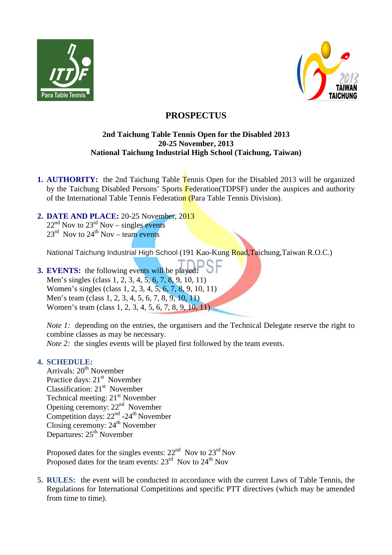



# **PROSPECTUS**

## **2nd Taichung Table Tennis Open for the Disabled 2013 20-25 November, 2013 National Taichung Industrial High School (Taichung, Taiwan)**

- **1. AUTHORITY:** the 2nd Taichung Table Tennis Open for the Disabled 2013 will be organized by the Taichung Disabled Persons' Sports Federation(TDPSF) under the auspices and authority of the International Table Tennis Federation (Para Table Tennis Division).
- **2. DATE AND PLACE:** 20-25 November, 2013

 $22<sup>nd</sup>$  Nov to  $23<sup>rd</sup>$  Nov – singles events  $23^{\text{rd}}$  Nov to  $24^{\text{th}}$  Nov – team events

National Taichung Industrial High School (191 Kao-Kung Road,Taichung,Taiwan R.O.C.)

**3. EVENTS:** the following events will be played: Men's singles (class 1, 2, 3, 4, 5, 6, 7, 8, 9, 10, 11) Women's singles (class 1, 2, 3, 4, 5, 6, 7, 8, 9, 10, 11) Men's team (class 1, 2, 3, 4, 5, 6, 7, 8, 9, 10, 11) Women's team (class 1, 2, 3, 4, 5, 6, 7, 8, 9, 10, 11)

*Note 1:* depending on the entries, the organisers and the Technical Delegate reserve the right to combine classes as may be necessary.

*Note 2:* the singles events will be played first followed by the team events.

## **4. SCHEDULE:**

Arrivals: 20<sup>th</sup> November Practice days: 21<sup>st</sup> November Classification:  $21<sup>st</sup>$  November Technical meeting: 21<sup>st</sup> November Opening ceremony: 22<sup>nd</sup> November Competition days:  $22<sup>nd</sup> - 24<sup>th</sup>$  November Closing ceremony:  $24<sup>th</sup>$  November Departures: 25<sup>th</sup> November

Proposed dates for the singles events:  $22<sup>nd</sup>$  Nov to  $23<sup>rd</sup>$  Nov Proposed dates for the team events: 23<sup>rd</sup> Nov to 24<sup>th</sup> Nov

**5. RULES:** the event will be conducted in accordance with the current Laws of Table Tennis, the Regulations for International Competitions and specific PTT directives (which may be amended from time to time).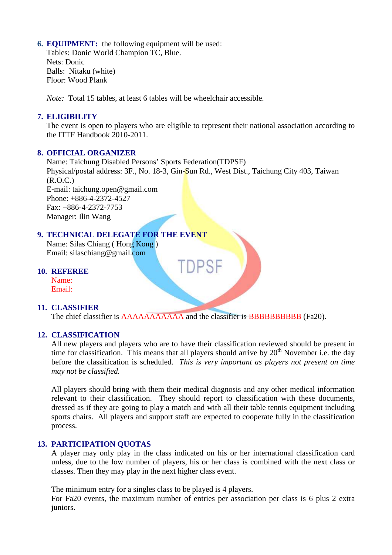### **6. EQUIPMENT:** the following equipment will be used:

Tables: Donic World Champion TC, Blue. Nets: Donic Balls: Nitaku (white) Floor: Wood Plank

*Note:* Total 15 tables, at least 6 tables will be wheelchair accessible.

## **7. ELIGIBILITY**

The event is open to players who are eligible to represent their national association according to the ITTF Handbook 2010-2011.

#### **8. OFFICIAL ORGANIZER**

Name: Taichung Disabled Persons' Sports Federation(TDPSF) Physical/postal address: 3F., No. 18-3, Gin-Sun Rd., West Dist., Taichung City 403, Taiwan (R.O.C.) E-mail: taichung.open@gmail.com Phone: +886-4-2372-4527  $Fax: +886-4-2372-7753$ Manager: Ilin Wang

## **9. TECHNICAL DELEGATE FOR THE EVENT**

Name: Silas Chiang ( Hong Kong ) Email: silaschiang@gmail.com

#### **10. REFEREE**

Name: Email:

#### **11. CLASSIFIER**

The chief classifier is AAAAAAAAAAA and the classifier is BBBBBBBBBBB (Fa20).

#### **12. CLASSIFICATION**

All new players and players who are to have their classification reviewed should be present in time for classification. This means that all players should arrive by  $20<sup>th</sup>$  November i.e. the day before the classification is scheduled. *This is very important as players not present on time may not be classified.*

All players should bring with them their medical diagnosis and any other medical information relevant to their classification. They should report to classification with these documents, dressed as if they are going to play a match and with all their table tennis equipment including sports chairs. All players and support staff are expected to cooperate fully in the classification process.

#### **13. PARTICIPATION QUOTAS**

A player may only play in the class indicated on his or her international classification card unless, due to the low number of players, his or her class is combined with the next class or classes. Then they may play in the next higher class event.

The minimum entry for a singles class to be played is 4 players.

For Fa20 events, the maximum number of entries per association per class is 6 plus 2 extra juniors.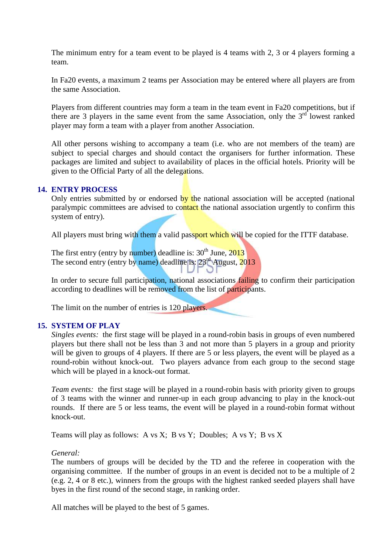The minimum entry for a team event to be played is 4 teams with 2, 3 or 4 players forming a team.

In Fa20 events, a maximum 2 teams per Association may be entered where all players are from the same Association.

Players from different countries may form a team in the team event in Fa20 competitions, but if there are 3 players in the same event from the same Association, only the  $3<sup>rd</sup>$  lowest ranked player may form a team with a player from another Association.

All other persons wishing to accompany a team (i.e. who are not members of the team) are subject to special charges and should contact the organisers for further information. These packages are limited and subject to availability of places in the official hotels. Priority will be given to the Official Party of all the delegations.

#### **14. ENTRY PROCESS**

Only entries submitted by or endorsed by the national association will be accepted (national paralympic committees are advised to contact the national association urgently to confirm this system of entry).

All players must bring with them a valid passport which will be copied for the ITTF database.

The first entry (entry by number) deadline is:  $30<sup>th</sup>$  June,  $2013$ The second entry (entry by name) deadline is:  $23<sup>rd</sup>$  August,  $2013$ 

In order to secure full participation, national associations failing to confirm their participation according to deadlines will be removed from the list of participants.

The limit on the number of entries is 120 players.

#### **15. SYSTEM OF PLAY**

*Singles events:* the first stage will be played in a round-robin basis in groups of even numbered players but there shall not be less than 3 and not more than 5 players in a group and priority will be given to groups of 4 players. If there are 5 or less players, the event will be played as a round-robin without knock-out. Two players advance from each group to the second stage which will be played in a knock-out format.

*Team events:* the first stage will be played in a round-robin basis with priority given to groups of 3 teams with the winner and runner-up in each group advancing to play in the knock-out rounds. If there are 5 or less teams, the event will be played in a round-robin format without knock-out.

Teams will play as follows: A vs X; B vs Y; Doubles; A vs Y; B vs X

*General:* 

The numbers of groups will be decided by the TD and the referee in cooperation with the organising committee. If the number of groups in an event is decided not to be a multiple of 2 (e.g. 2, 4 or 8 etc.), winners from the groups with the highest ranked seeded players shall have byes in the first round of the second stage, in ranking order.

All matches will be played to the best of 5 games.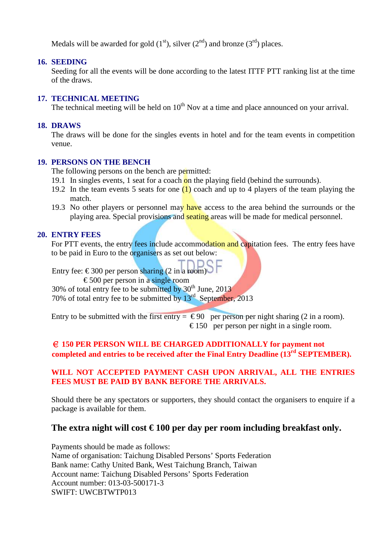Medals will be awarded for gold  $(1<sup>st</sup>)$ , silver  $(2<sup>nd</sup>)$  and bronze  $(3<sup>rd</sup>)$  places.

## **16. SEEDING**

Seeding for all the events will be done according to the latest ITTF PTT ranking list at the time of the draws.

#### **17. TECHNICAL MEETING**

The technical meeting will be held on  $10<sup>th</sup>$  Nov at a time and place announced on your arrival.

## **18. DRAWS**

The draws will be done for the singles events in hotel and for the team events in competition venue.

## **19. PERSONS ON THE BENCH**

The following persons on the bench are permitted:

- 19.1 In singles events, 1 seat for a coach on the playing field (behind the surrounds).
- 19.2 In the team events 5 seats for one  $(1)$  coach and up to 4 players of the team playing the match.
- 19.3 No other players or personnel may have access to the area behind the surrounds or the playing area. Special provisions and seating areas will be made for medical personnel.

## **20. ENTRY FEES**

For PTT events, the entry fees include accommodation and capitation fees. The entry fees have to be paid in Euro to the organisers as set out below:

Entry fee:  $\in$  300 per person sharing (2 in a room)

 $\epsilon$  500 per person in a single room

30% of total entry fee to be submitted by  $30<sup>th</sup>$  June, 2013

70% of total entry fee to be submitted by  $13<sup>rd</sup>$  September, 2013

Entry to be submitted with the first entry =  $\epsilon$  90 per person per night sharing (2 in a room).  $\epsilon$  150 per person per night in a single room.

## € **150 PER PERSON WILL BE CHARGED ADDITIONALLY for payment not completed and entries to be received after the Final Entry Deadline (13rd SEPTEMBER).**

## **WILL NOT ACCEPTED PAYMENT CASH UPON ARRIVAL, ALL THE ENTRIES FEES MUST BE PAID BY BANK BEFORE THE ARRIVALS.**

Should there be any spectators or supporters, they should contact the organisers to enquire if a package is available for them.

## The extra night will cost  $\epsilon$  100 per day per room including breakfast only.

Payments should be made as follows: Name of organisation: Taichung Disabled Persons' Sports Federation Bank name: Cathy United Bank, West Taichung Branch, Taiwan Account name: Taichung Disabled Persons' Sports Federation Account number: 013-03-500171-3 SWIFT: UWCBTWTP013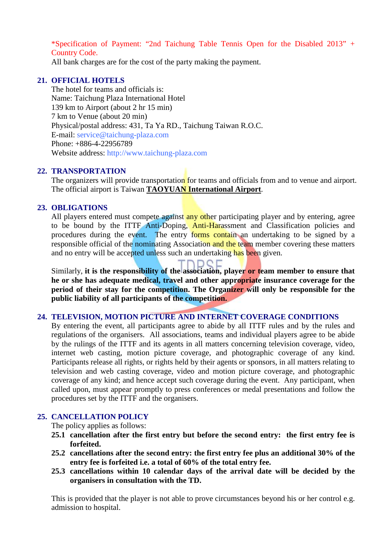\*Specification of Payment: "2nd Taichung Table Tennis Open for the Disabled 2013" + Country Code.

All bank charges are for the cost of the party making the payment.

## **21. OFFICIAL HOTELS**

The hotel for teams and officials is: Name: Taichung Plaza International Hotel 139 km to Airport (about 2 hr 15 min) 7 km to Venue (about 20 min) Physical/postal address: 431, Ta Ya RD., Taichung Taiwan R.O.C. E-mail: service@taichung-plaza.com Phone: +886-4-22956789 Website address: http://www.taichung-plaza.com

## **22. TRANSPORTATION**

The organizers will provide transportation for teams and officials from and to venue and airport. The official airport is Taiwan **TAOYUAN International Airport**.

## **23. OBLIGATIONS**

All players entered must compete against any other participating player and by entering, agree to be bound by the ITTF Anti-Doping, Anti-Harassment and Classification policies and procedures during the event. The entry forms contain an undertaking to be signed by a responsible official of the nominating Association and the team member covering these matters and no entry will be accepted unless such an undertaking has been given.

Similarly, **it is the responsibility of the association, player or team member to ensure that he or she has adequate medical, travel and other appropriate insurance coverage for the period of their stay for the competition. The Organizer will only be responsible for the public liability of all participants of the competition.**

#### **24. TELEVISION, MOTION PICTURE AND INTERNET COVERAGE CONDITIONS**

By entering the event, all participants agree to abide by all ITTF rules and by the rules and regulations of the organisers. All associations, teams and individual players agree to be abide by the rulings of the ITTF and its agents in all matters concerning television coverage, video, internet web casting, motion picture coverage, and photographic coverage of any kind. Participants release all rights, or rights held by their agents or sponsors, in all matters relating to television and web casting coverage, video and motion picture coverage, and photographic coverage of any kind; and hence accept such coverage during the event. Any participant, when called upon, must appear promptly to press conferences or medal presentations and follow the procedures set by the ITTF and the organisers.

## **25. CANCELLATION POLICY**

The policy applies as follows:

- **25.1 cancellation after the first entry but before the second entry: the first entry fee is forfeited.**
- **25.2 cancellations after the second entry: the first entry fee plus an additional 30% of the entry fee is forfeited i.e. a total of 60% of the total entry fee.**
- **25.3 cancellations within 10 calendar days of the arrival date will be decided by the organisers in consultation with the TD.**

This is provided that the player is not able to prove circumstances beyond his or her control e.g. admission to hospital.